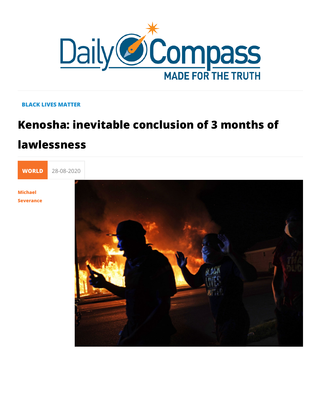## **BLACK LIVES MATTER**

## Kenosha: inevitable conclusion of 3 mo lawlessness



Severance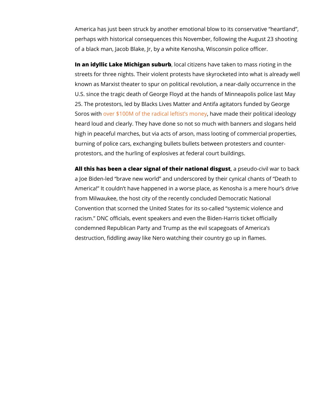America has just been struck by another emotional blow to its perhaps with historical consequences this November, following of a black man, Jacob Blake, Jr, by a white Kenosha, Wisconsi

In an idyllic Lake Michigan osuab uribizens have taken to mass rio streets for three nights. Their violent protests have skyrocket known as Marxist theater to spur on political revolution, a nea U.S. since the tragic death of George Floyd at the hands of Mi 25. The protestors, led by Blacks Lives Matter and Antifa agitations. Soros woither \$100M of the radical lehibaluse smandoen otheir political ideology heard loud and clearly. They have done so not so much with band high in peaceful marches, but via acts of arson, mass looting burning of police cars, exchanging bullets bullets between pro protestors, and the hurling of explosives at federal court build

All this has been a clear signal of their, naatpioseabloolisigouistwar to a Joe Biden-led brave new world and underscored by their cy America! It couldn t have happened in a worse place, as Keno from Milwaukee, the host city of the recently concluded Democ Convention that scorned the United States for its so-called sy racism. DNC officials, event speakers and even the Biden-Har condemned Republican Party and Trump as the evil scapegoats destruction, fiddling away like Nero watching their country go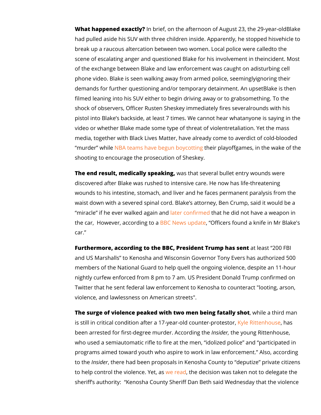What happened exalcontlby?  $i$ ef, on the afternoon of August B $23k$ , ethe had pulled aside his SUV with three children insideve Appipeeretotl break up a raucous altercation between two womento Ltomeal poli scene of escalating anger and questioned Blake incoridhenstin Monester of the exchange between Blake and law enforceismeunt iwag scealught phone video. Blake is seen walking away from ignmoeich op othiers, se demands for further questioning and/or temporarBy lad keet aims minhement. filmed leaning into his SUV either to beginsdomine ithey and  $\overline{a}$  and  $\overline{b}$  or the co shock of observers, Officer Rusten Sheskey immonneddsawelly hiinses pistol into Blake s backside, at least  $7$  times  $y \, d$  Me can racy timbe an video or whether Blake made some typereotfaltiharteient. of Yevoidtheentmas media, together with Black Lives Matter, heveliatready Ide blood murder while teams have begun tho eyior opting good for the wake of shooting to encourage the prosecution of Sheskey.

The end result, medically swpaesa khang, several bullet entry wounds discovered after Blake was rushed to intensive care. He now h wounds to his intestine, stomach, and liver and he faces perm waist down with a severed spinal cord. Blake s attorney, Ben C miracle if he ever walk bedteargaion fainthlath he did not have a weap the car, However, according wo apd@feicers found a knife in M car.

Furthermore, according to the BBC, PresidenatTreuamspt h2aGos FeBt and US Marshalls to Kenosha and Wisconsin Governor Tony E members of the National Guard to help quell the ongoing viole nightly curfew enforced from 8 pm to 7 am. US President Dona Twitter that he sent federal law enforcement to Kenosha to cou violence, and lawlessness on American streets".

The surge of violence peaked with two men being in the tast liby in so that a is still in critical condition after a 17-yeakfyolded Roiotuantheohuapasneotest been arrested for first-degree murdlensid Abdropoly objung the ittenhouse, who used a semiautomatic rifle to fire at the men, idolized po programs aimed toward youth who aspire to work in law enforc to the sidethere had been proposals in Kenosha County to dep to help control the violeyne cee a the test assion was taken not to de sheriff s authority: Kenosha County Sheriff Dan Beth said We